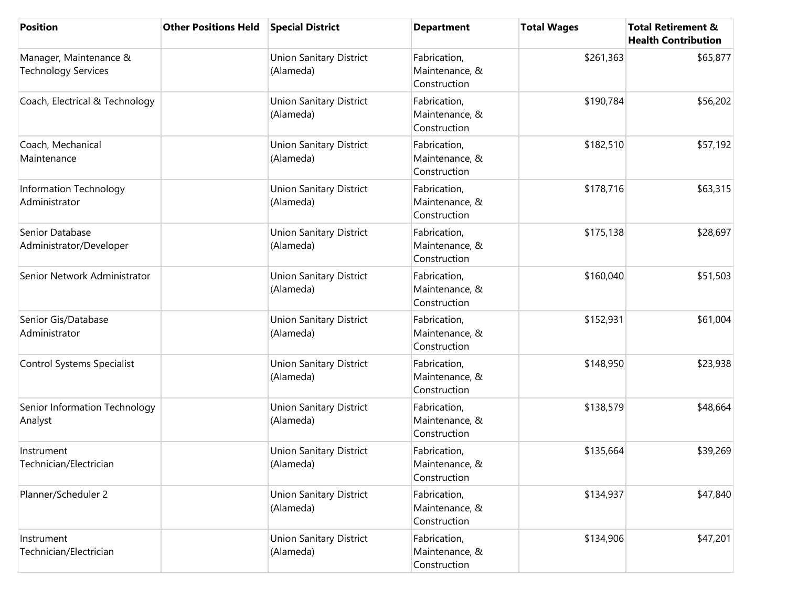| <b>Position</b>                                      | <b>Other Positions Held</b> | <b>Special District</b>                     | <b>Department</b>                              | <b>Total Wages</b> | <b>Total Retirement &amp;</b><br><b>Health Contribution</b> |
|------------------------------------------------------|-----------------------------|---------------------------------------------|------------------------------------------------|--------------------|-------------------------------------------------------------|
| Manager, Maintenance &<br><b>Technology Services</b> |                             | <b>Union Sanitary District</b><br>(Alameda) | Fabrication,<br>Maintenance, &<br>Construction | \$261,363          | \$65,877                                                    |
| Coach, Electrical & Technology                       |                             | <b>Union Sanitary District</b><br>(Alameda) | Fabrication,<br>Maintenance, &<br>Construction | \$190,784          | \$56,202                                                    |
| Coach, Mechanical<br>Maintenance                     |                             | <b>Union Sanitary District</b><br>(Alameda) | Fabrication,<br>Maintenance, &<br>Construction | \$182,510          | \$57,192                                                    |
| Information Technology<br>Administrator              |                             | <b>Union Sanitary District</b><br>(Alameda) | Fabrication,<br>Maintenance, &<br>Construction | \$178,716          | \$63,315                                                    |
| Senior Database<br>Administrator/Developer           |                             | <b>Union Sanitary District</b><br>(Alameda) | Fabrication,<br>Maintenance, &<br>Construction | \$175,138          | \$28,697                                                    |
| Senior Network Administrator                         |                             | <b>Union Sanitary District</b><br>(Alameda) | Fabrication,<br>Maintenance, &<br>Construction | \$160,040          | \$51,503                                                    |
| Senior Gis/Database<br>Administrator                 |                             | <b>Union Sanitary District</b><br>(Alameda) | Fabrication,<br>Maintenance, &<br>Construction | \$152,931          | \$61,004                                                    |
| <b>Control Systems Specialist</b>                    |                             | <b>Union Sanitary District</b><br>(Alameda) | Fabrication,<br>Maintenance, &<br>Construction | \$148,950          | \$23,938                                                    |
| Senior Information Technology<br>Analyst             |                             | <b>Union Sanitary District</b><br>(Alameda) | Fabrication,<br>Maintenance, &<br>Construction | \$138,579          | \$48,664                                                    |
| Instrument<br>Technician/Electrician                 |                             | <b>Union Sanitary District</b><br>(Alameda) | Fabrication,<br>Maintenance, &<br>Construction | \$135,664          | \$39,269                                                    |
| Planner/Scheduler 2                                  |                             | <b>Union Sanitary District</b><br>(Alameda) | Fabrication,<br>Maintenance, &<br>Construction | \$134,937          | \$47,840                                                    |
| Instrument<br>Technician/Electrician                 |                             | <b>Union Sanitary District</b><br>(Alameda) | Fabrication,<br>Maintenance, &<br>Construction | \$134,906          | \$47,201                                                    |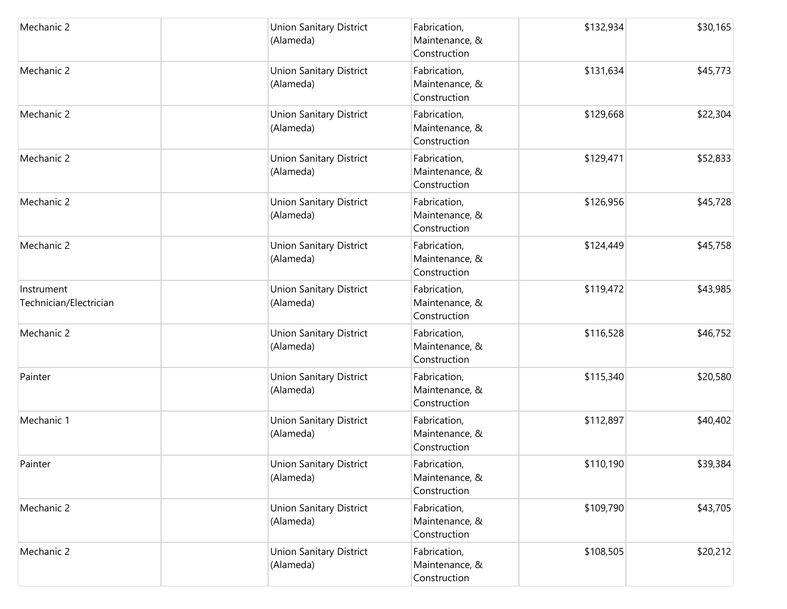| Mechanic 2                           | <b>Union Sanitary District</b><br>(Alameda) | Fabrication,<br>Maintenance, &<br>Construction | \$132,934 | \$30,165 |
|--------------------------------------|---------------------------------------------|------------------------------------------------|-----------|----------|
| Mechanic 2                           | <b>Union Sanitary District</b><br>(Alameda) | Fabrication,<br>Maintenance, &<br>Construction | \$131,634 | \$45,773 |
| Mechanic 2                           | <b>Union Sanitary District</b><br>(Alameda) | Fabrication,<br>Maintenance, &<br>Construction | \$129,668 | \$22,304 |
| Mechanic 2                           | <b>Union Sanitary District</b><br>(Alameda) | Fabrication,<br>Maintenance, &<br>Construction | \$129,471 | \$52,833 |
| Mechanic 2                           | <b>Union Sanitary District</b><br>(Alameda) | Fabrication,<br>Maintenance, &<br>Construction | \$126,956 | \$45,728 |
| Mechanic 2                           | <b>Union Sanitary District</b><br>(Alameda) | Fabrication,<br>Maintenance, &<br>Construction | \$124,449 | \$45,758 |
| Instrument<br>Technician/Electrician | <b>Union Sanitary District</b><br>(Alameda) | Fabrication,<br>Maintenance, &<br>Construction | \$119,472 | \$43,985 |
| Mechanic 2                           | <b>Union Sanitary District</b><br>(Alameda) | Fabrication,<br>Maintenance, &<br>Construction | \$116,528 | \$46,752 |
| Painter                              | <b>Union Sanitary District</b><br>(Alameda) | Fabrication,<br>Maintenance, &<br>Construction | \$115,340 | \$20,580 |
| Mechanic 1                           | <b>Union Sanitary District</b><br>(Alameda) | Fabrication,<br>Maintenance, &<br>Construction | \$112,897 | \$40,402 |
| Painter                              | <b>Union Sanitary District</b><br>(Alameda) | Fabrication,<br>Maintenance, &<br>Construction | \$110,190 | \$39,384 |
| Mechanic 2                           | <b>Union Sanitary District</b><br>(Alameda) | Fabrication,<br>Maintenance, &<br>Construction | \$109,790 | \$43,705 |
| Mechanic 2                           | <b>Union Sanitary District</b><br>(Alameda) | Fabrication,<br>Maintenance, &<br>Construction | \$108,505 | \$20,212 |